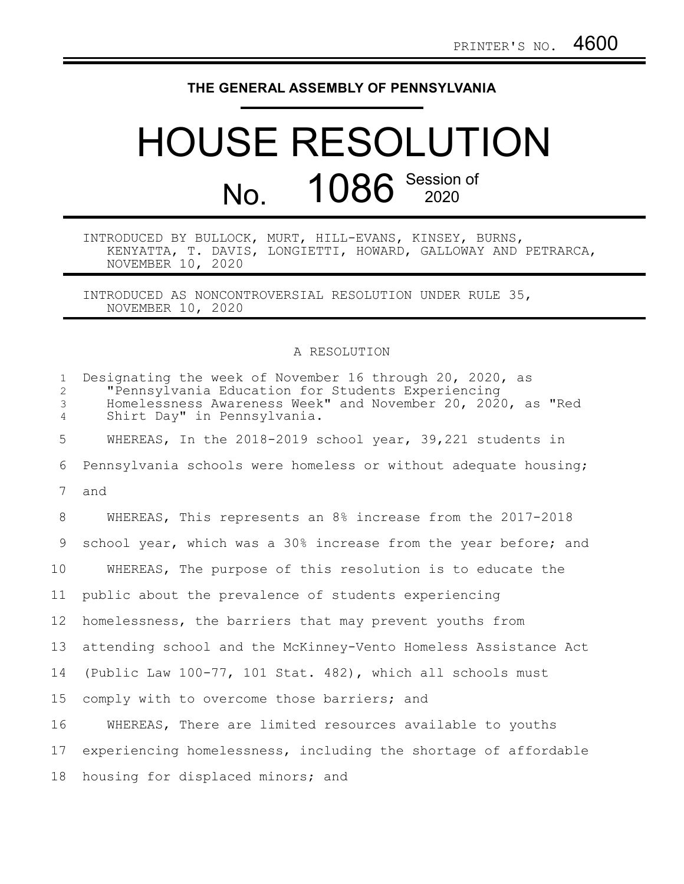## **THE GENERAL ASSEMBLY OF PENNSYLVANIA**

## HOUSE RESOLUTION No. 1086 Session of

INTRODUCED BY BULLOCK, MURT, HILL-EVANS, KINSEY, BURNS, KENYATTA, T. DAVIS, LONGIETTI, HOWARD, GALLOWAY AND PETRARCA, NOVEMBER 10, 2020

INTRODUCED AS NONCONTROVERSIAL RESOLUTION UNDER RULE 35, NOVEMBER 10, 2020

## A RESOLUTION

| $\mathbf{1}$<br>2<br>3<br>$\overline{4}$ | Designating the week of November 16 through 20, 2020, as<br>"Pennsylvania Education for Students Experiencing<br>Homelessness Awareness Week" and November 20, 2020, as "Red<br>Shirt Day" in Pennsylvania. |
|------------------------------------------|-------------------------------------------------------------------------------------------------------------------------------------------------------------------------------------------------------------|
| 5                                        | WHEREAS, In the 2018-2019 school year, 39,221 students in                                                                                                                                                   |
| 6                                        | Pennsylvania schools were homeless or without adequate housing;                                                                                                                                             |
| 7                                        | and                                                                                                                                                                                                         |
| 8                                        | WHEREAS, This represents an 8% increase from the 2017-2018                                                                                                                                                  |
| 9                                        | school year, which was a 30% increase from the year before; and                                                                                                                                             |
| 10                                       | WHEREAS, The purpose of this resolution is to educate the                                                                                                                                                   |
| 11                                       | public about the prevalence of students experiencing                                                                                                                                                        |
| 12 <sup>°</sup>                          | homelessness, the barriers that may prevent youths from                                                                                                                                                     |
| 13                                       | attending school and the McKinney-Vento Homeless Assistance Act                                                                                                                                             |
| 14                                       | (Public Law 100-77, 101 Stat. 482), which all schools must                                                                                                                                                  |
| 15                                       | comply with to overcome those barriers; and                                                                                                                                                                 |
| 16                                       | WHEREAS, There are limited resources available to youths                                                                                                                                                    |
| 17                                       | experiencing homelessness, including the shortage of affordable                                                                                                                                             |
| 18                                       | housing for displaced minors; and                                                                                                                                                                           |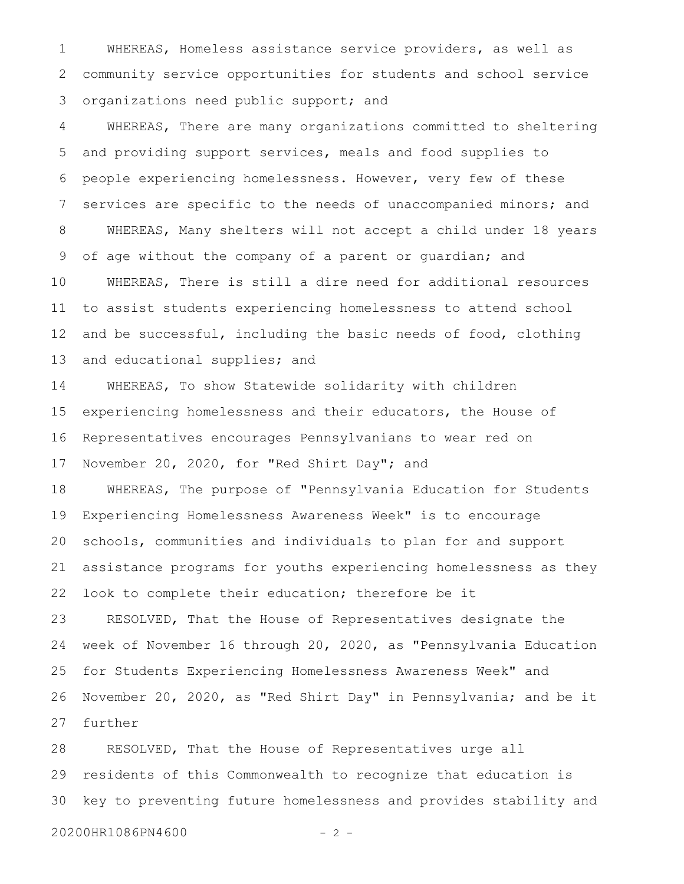WHEREAS, Homeless assistance service providers, as well as community service opportunities for students and school service organizations need public support; and 1 2 3

WHEREAS, There are many organizations committed to sheltering and providing support services, meals and food supplies to people experiencing homelessness. However, very few of these services are specific to the needs of unaccompanied minors; and WHEREAS, Many shelters will not accept a child under 18 years of age without the company of a parent or guardian; and WHEREAS, There is still a dire need for additional resources to assist students experiencing homelessness to attend school and be successful, including the basic needs of food, clothing and educational supplies; and 4 5 6 7 8 9 10 11 12 13

WHEREAS, To show Statewide solidarity with children experiencing homelessness and their educators, the House of Representatives encourages Pennsylvanians to wear red on November 20, 2020, for "Red Shirt Day"; and 14 15 16 17

WHEREAS, The purpose of "Pennsylvania Education for Students Experiencing Homelessness Awareness Week" is to encourage schools, communities and individuals to plan for and support assistance programs for youths experiencing homelessness as they look to complete their education; therefore be it 18 19 20 21 22

RESOLVED, That the House of Representatives designate the week of November 16 through 20, 2020, as "Pennsylvania Education for Students Experiencing Homelessness Awareness Week" and November 20, 2020, as "Red Shirt Day" in Pennsylvania; and be it further 23 24 25 26 27

RESOLVED, That the House of Representatives urge all residents of this Commonwealth to recognize that education is key to preventing future homelessness and provides stability and 28 29 30

20200HR1086PN4600 - 2 -